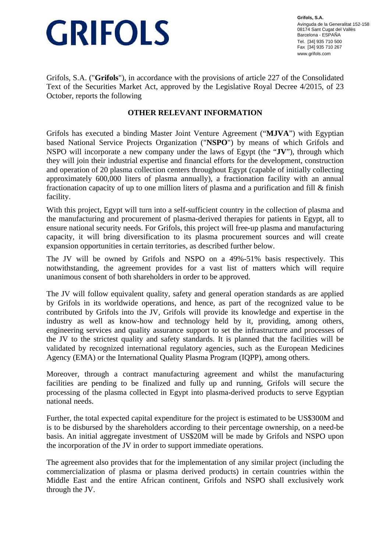## **GRIFOLS**

**Grifols, S.A.** Avinguda de la Generalitat 152-158 08174 Sant Cugat del Vallès Barcelona - ESPAÑA Tel. [34] 935 710 500 Fax [34] 935 710 267 www.grifols.com

Grifols, S.A. ("**Grifols**"), in accordance with the provisions of article 227 of the Consolidated Text of the Securities Market Act, approved by the Legislative Royal Decree 4/2015, of 23 October, reports the following

## **OTHER RELEVANT INFORMATION**

Grifols has executed a binding Master Joint Venture Agreement ("**MJVA**") with Egyptian based National Service Projects Organization ("**NSPO**") by means of which Grifols and NSPO will incorporate a new company under the laws of Egypt (the "**JV**"), through which they will join their industrial expertise and financial efforts for the development, construction and operation of 20 plasma collection centers throughout Egypt (capable of initially collecting approximately 600,000 liters of plasma annually), a fractionation facility with an annual fractionation capacity of up to one million liters of plasma and a purification and fill & finish facility.

With this project, Egypt will turn into a self-sufficient country in the collection of plasma and the manufacturing and procurement of plasma-derived therapies for patients in Egypt, all to ensure national security needs. For Grifols, this project will free-up plasma and manufacturing capacity, it will bring diversification to its plasma procurement sources and will create expansion opportunities in certain territories, as described further below.

The JV will be owned by Grifols and NSPO on a 49%-51% basis respectively. This notwithstanding, the agreement provides for a vast list of matters which will require unanimous consent of both shareholders in order to be approved.

The JV will follow equivalent quality, safety and general operation standards as are applied by Grifols in its worldwide operations, and hence, as part of the recognized value to be contributed by Grifols into the JV, Grifols will provide its knowledge and expertise in the industry as well as know-how and technology held by it, providing, among others, engineering services and quality assurance support to set the infrastructure and processes of the JV to the strictest quality and safety standards. It is planned that the facilities will be validated by recognized international regulatory agencies, such as the European Medicines Agency (EMA) or the International Quality Plasma Program (IQPP), among others.

Moreover, through a contract manufacturing agreement and whilst the manufacturing facilities are pending to be finalized and fully up and running, Grifols will secure the processing of the plasma collected in Egypt into plasma-derived products to serve Egyptian national needs.

Further, the total expected capital expenditure for the project is estimated to be US\$300M and is to be disbursed by the shareholders according to their percentage ownership, on a need-be basis. An initial aggregate investment of US\$20M will be made by Grifols and NSPO upon the incorporation of the JV in order to support immediate operations.

The agreement also provides that for the implementation of any similar project (including the commercialization of plasma or plasma derived products) in certain countries within the Middle East and the entire African continent, Grifols and NSPO shall exclusively work through the JV.